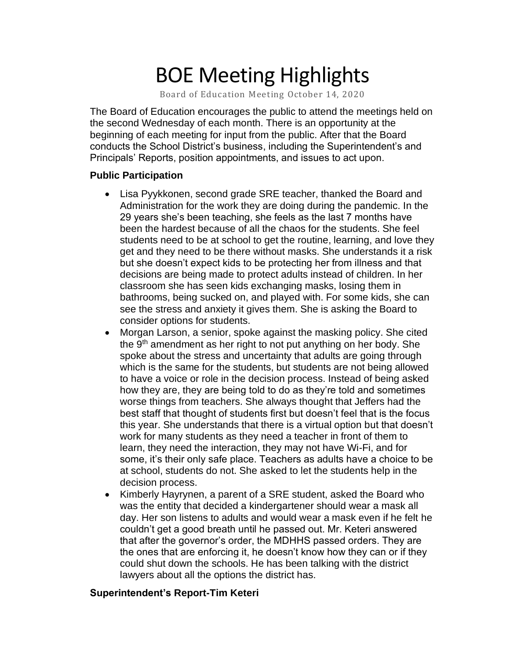# BOE Meeting Highlights

Board of Education Meeting October 14, 2020

The Board of Education encourages the public to attend the meetings held on the second Wednesday of each month. There is an opportunity at the beginning of each meeting for input from the public. After that the Board conducts the School District's business, including the Superintendent's and Principals' Reports, position appointments, and issues to act upon.

#### **Public Participation**

- Lisa Pyykkonen, second grade SRE teacher, thanked the Board and Administration for the work they are doing during the pandemic. In the 29 years she's been teaching, she feels as the last 7 months have been the hardest because of all the chaos for the students. She feel students need to be at school to get the routine, learning, and love they get and they need to be there without masks. She understands it a risk but she doesn't expect kids to be protecting her from illness and that decisions are being made to protect adults instead of children. In her classroom she has seen kids exchanging masks, losing them in bathrooms, being sucked on, and played with. For some kids, she can see the stress and anxiety it gives them. She is asking the Board to consider options for students.
- Morgan Larson, a senior, spoke against the masking policy. She cited the 9th amendment as her right to not put anything on her body. She spoke about the stress and uncertainty that adults are going through which is the same for the students, but students are not being allowed to have a voice or role in the decision process. Instead of being asked how they are, they are being told to do as they're told and sometimes worse things from teachers. She always thought that Jeffers had the best staff that thought of students first but doesn't feel that is the focus this year. She understands that there is a virtual option but that doesn't work for many students as they need a teacher in front of them to learn, they need the interaction, they may not have Wi-Fi, and for some, it's their only safe place. Teachers as adults have a choice to be at school, students do not. She asked to let the students help in the decision process.
- Kimberly Hayrynen, a parent of a SRE student, asked the Board who was the entity that decided a kindergartener should wear a mask all day. Her son listens to adults and would wear a mask even if he felt he couldn't get a good breath until he passed out. Mr. Keteri answered that after the governor's order, the MDHHS passed orders. They are the ones that are enforcing it, he doesn't know how they can or if they could shut down the schools. He has been talking with the district lawyers about all the options the district has.

#### **Superintendent's Report-Tim Keteri**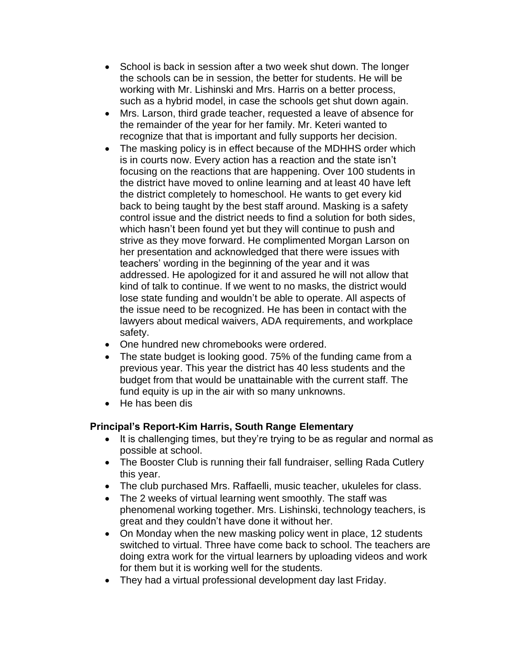- School is back in session after a two week shut down. The longer the schools can be in session, the better for students. He will be working with Mr. Lishinski and Mrs. Harris on a better process, such as a hybrid model, in case the schools get shut down again.
- Mrs. Larson, third grade teacher, requested a leave of absence for the remainder of the year for her family. Mr. Keteri wanted to recognize that that is important and fully supports her decision.
- The masking policy is in effect because of the MDHHS order which is in courts now. Every action has a reaction and the state isn't focusing on the reactions that are happening. Over 100 students in the district have moved to online learning and at least 40 have left the district completely to homeschool. He wants to get every kid back to being taught by the best staff around. Masking is a safety control issue and the district needs to find a solution for both sides, which hasn't been found yet but they will continue to push and strive as they move forward. He complimented Morgan Larson on her presentation and acknowledged that there were issues with teachers' wording in the beginning of the year and it was addressed. He apologized for it and assured he will not allow that kind of talk to continue. If we went to no masks, the district would lose state funding and wouldn't be able to operate. All aspects of the issue need to be recognized. He has been in contact with the lawyers about medical waivers, ADA requirements, and workplace safety.
- One hundred new chromebooks were ordered.
- The state budget is looking good. 75% of the funding came from a previous year. This year the district has 40 less students and the budget from that would be unattainable with the current staff. The fund equity is up in the air with so many unknowns.
- He has been dis

## **Principal's Report-Kim Harris, South Range Elementary**

- It is challenging times, but they're trying to be as regular and normal as possible at school.
- The Booster Club is running their fall fundraiser, selling Rada Cutlery this year.
- The club purchased Mrs. Raffaelli, music teacher, ukuleles for class.
- The 2 weeks of virtual learning went smoothly. The staff was phenomenal working together. Mrs. Lishinski, technology teachers, is great and they couldn't have done it without her.
- On Monday when the new masking policy went in place, 12 students switched to virtual. Three have come back to school. The teachers are doing extra work for the virtual learners by uploading videos and work for them but it is working well for the students.
- They had a virtual professional development day last Friday.